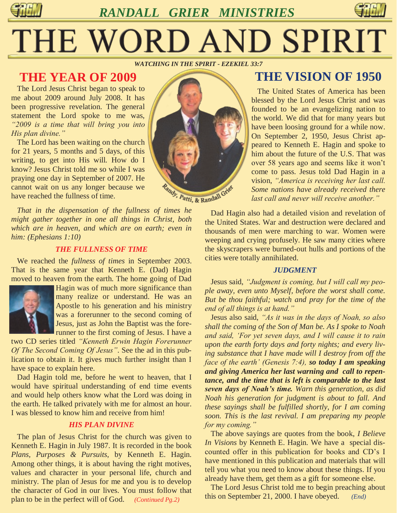*RANDALL GRIER MINISTRIES*



# THE WORD AND SPIRIT

*WATCHING IN THE SPIRIT - EZEKIEL 33:7*

# **THE YEAR OF 2009**

 The Lord Jesus Christ began to speak to me about 2009 around July 2008. It has been progressive revelation. The general statement the Lord spoke to me was, *"2009 is a time that will bring you into His plan divine."* 

 The Lord has been waiting on the church for 21 years, 5 months and 5 days, of this writing, to get into His will. How do I know? Jesus Christ told me so while I was praying one day in September of 2007. He cannot wait on us any longer because we have reached the fullness of time.

 *That in the dispensation of the fullness of times he might gather together in one all things in Christ, both which are in heaven, and which are on earth; even in him: (Ephesians 1:10)*

#### *THE FULLNESS OF TIME*

 We reached the *fullness of times* in September 2003. That is the same year that Kenneth E. (Dad) Hagin moved to heaven from the earth. The home going of Dad



Hagin was of much more significance than many realize or understand. He was an Apostle to his generation and his ministry was a forerunner to the second coming of Jesus, just as John the Baptist was the forerunner to the first coming of Jesus. I have a

two CD series titled *"Kenneth Erwin Hagin Forerunner Of The Second Coming Of Jesus"*. See the ad in this publication to obtain it. It gives much further insight than I have space to explain here.

 Dad Hagin told me, before he went to heaven, that I would have spiritual understanding of end time events and would help others know what the Lord was doing in the earth. He talked privately with me for almost an hour. I was blessed to know him and receive from him!

#### *HIS PLAN DIVINE*

 The plan of Jesus Christ for the church was given to Kenneth E. Hagin in July 1987. It is recorded in the book *Plans, Purposes & Pursuits*, by Kenneth E. Hagin. Among other things, it is about having the right motives, values and character in your personal life, church and ministry. The plan of Jesus for me and you is to develop the character of God in our lives. You must follow that plan to be in the perfect will of God. *(Continued Pg.2)*



# **THE VISION OF 1950**

 The United States of America has been blessed by the Lord Jesus Christ and was founded to be an evangelizing nation to the world. We did that for many years but have been loosing ground for a while now. On September 2, 1950, Jesus Christ appeared to Kenneth E. Hagin and spoke to him about the future of the U.S. That was over 58 years ago and seems like it won't come to pass. Jesus told Dad Hagin in a vision, *"America is receiving her last call. Some nations have already received there last call and never will receive another."* 

 Dad Hagin also had a detailed vision and revelation of the United States. War and destruction were declared and thousands of men were marching to war. Women were weeping and crying profusely. He saw many cities where the skyscrapers were burned-out hulls and portions of the cities were totally annihilated.

#### *JUDGMENT*

 Jesus said, *"Judgment is coming, but I will call my people away, even unto Myself, before the worst shall come. But be thou faithful; watch and pray for the time of the end of all things is at hand."* 

Jesus also said, *"As it was in the days of Noah, so also shall the coming of the Son of Man be. As I spoke to Noah and said, "For yet seven days, and I will cause it to rain upon the earth forty days and forty nights; and every living substance that I have made will I destroy from off the face of the earth" (Genesis 7:4), so today I am speaking and giving America her last warning and call to repentance, and the time that is left is comparable to the last seven days of Noah's time. Warn this generation, as did Noah his generation for judgment is about to fall. And these sayings shall be fulfilled shortly, for I am coming soon. This is the last revival. I am preparing my people for my coming."* 

 The above sayings are quotes from the book, *I Believe In Visions* by Kenneth E. Hagin. We have a special discounted offer in this publication for books and CD's I have mentioned in this publication and materials that will tell you what you need to know about these things. If you already have them, get them as a gift for someone else.

 The Lord Jesus Christ told me to begin preaching about this on September 21, 2000. I have obeyed. *(End)*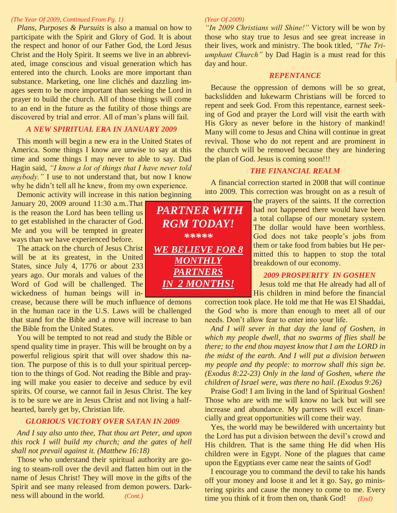#### *(The Year Of 2009, Continued From Pg. 1)*

 *Plans, Purposes & Pursuits* is also a manual on how to participate with the Spirit and Glory of God. It is about the respect and honor of our Father God, the Lord Jesus Christ and the Holy Spirit. It seems we live in an abbreviated, image conscious and visual generation which has entered into the church. Looks are more important than substance. Marketing, one line clichés and dazzling images seem to be more important than seeking the Lord in prayer to build the church. All of those things will come to an end in the future as the futility of those things are discovered by trial and error. All of man's plans will fail.

#### *A NEW SPIRITUAL ERA IN JANUARY 2009*

 This month will begin a new era in the United States of America. Some things I know are unwise to say at this time and some things I may never to able to say. Dad Hagin said, *"I know a lot of things that I have never told anybody.*" I use to not understand that, but now I know why he didn't tell all he knew, from my own experience.

 Demonic activity will increase in this nation beginning January 20, 2009 around 11:30 a.m..That is the reason the Lord has been telling us

to get established in the character of God. Me and you will be tempted in greater ways than we have experienced before.

 The attack on the church of Jesus Christ will be at its greatest, in the United States, since July 4, 1776 or about 233 years ago. Our morals and values of the Word of God will be challenged. The wickedness of human beings will in-

crease, because there will be much influence of demons in the human race in the U.S. Laws will be challenged that stand for the Bible and a move will increase to ban the Bible from the United States.

 You will be tempted to not read and study the Bible or spend quality time in prayer. This will be brought on by a powerful religious spirit that will over shadow this nation. The purpose of this is to dull your spiritual perception to the things of God. Not reading the Bible and praying will make you easier to deceive and seduce by evil spirits. Of course, we cannot fail in Jesus Christ. The key is to be sure we are in Jesus Christ and not living a halfhearted, barely get by, Christian life.

#### *GLORIOUS VICTORY OVER SATAN IN 2009*

 *And I say also unto thee, That thou art Peter, and upon this rock I will build my church; and the gates of hell shall not prevail against it. (Matthew 16:18)*

Those who understand their spiritual authority are going to steam-roll over the devil and flatten him out in the name of Jesus Christ! They will move in the gifts of the Spirit and see many released from demon powers. Darkness will abound in the world. *(Cont.)*

#### *(Year Of 2009)*

*"In 2009 Christians will Shine!"* Victory will be won by those who stay true to Jesus and see great increase in their lives, work and ministry. The book titled, *"The Triumphant Church"* by Dad Hagin is a must read for this day and hour.

#### *REPENTANCE*

 Because the oppression of demons will be so great, backslidden and lukewarm Christians will be forced to repent and seek God. From this repentance, earnest seeking of God and prayer the Lord will visit the earth with His Glory as never before in the history of mankind! Many will come to Jesus and China will continue in great revival. Those who do not repent and are prominent in the church will be removed because they are hindering the plan of God. Jesus is coming soon!!!

#### *THE FINANCIAL REALM*

 A financial correction started in 2008 that will continue into 2009. This correction was brought on as a result of

> the prayers of the saints. If the correction had not happened there would have been a total collapse of our monetary system. The dollar would have been worthless. God does not take people's jobs from them or take food from babies but He permitted this to happen to stop the total breakdown of our economy.

#### *2009 PROSPERITY IN GOSHEN*

 Jesus told me that He already had all of His children in mind before the financial

correction took place. He told me that He was El Shaddai, the God who is more than enough to meet all of our needs. Don't allow fear to enter into your life.

 *And I will sever in that day the land of Goshen, in which my people dwell, that no swarms of flies shall be there; to the end thou mayest know that I am the LORD in the midst of the earth. And I will put a division between my people and thy people: to morrow shall this sign be. (Exodus 8:22-23) Only in the land of Goshen, where the children of Israel were, was there no hail. (Exodus 9:26)*

Praise God! I am living in the land of Spiritual Goshen! Those who are with me will know no lack but will see increase and abundance. My partners will excel financially and great opportunities will come their way.

 Yes, the world may be bewildered with uncertainty but the Lord has put a division between the devil's crowd and His children. That is the same thing He did when His children were in Egypt. None of the plagues that came upon the Egyptians ever came near the saints of God!

 I encourage you to command the devil to take his hands off your money and loose it and let it go. Say, go ministering spirits and cause the money to come to me. Every time you think of it from then on, thank God! *(End)*

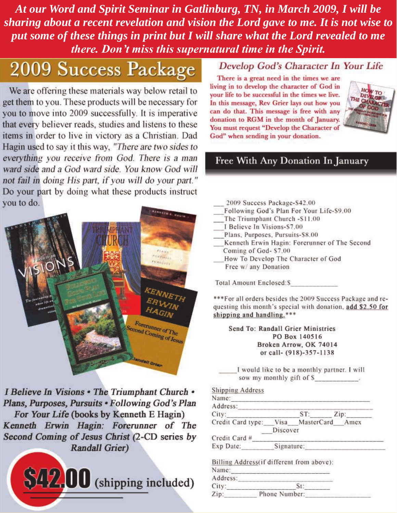At our Word and Spirit Seminar in Gatlinburg, TN, in March 2009, I will be sharing about a recent revelation and vision the Lord gave to me. It is not wise to put some of these things in print but I will share what the Lord revealed to me there. Don't miss this supernatural time in the Spirit.

# 2009 Success Package

We are offering these materials way below retail to get them to you. These products will be necessary for you to move into 2009 successfully. It is imperative that every believer reads, studies and listens to these items in order to live in victory as a Christian. Dad Hagin used to say it this way, "There are two sides to everything you receive from God. There is a man ward side and a God ward side. You know God will not fail in doing His part, if you will do your part." Do your part by doing what these products instruct you to do.



I Believe In Visions . The Triumphant Church . Plans, Purposes, Pursuits . Following God's Plan For Your Life (books by Kenneth E Hagin) Kenneth Erwin Hagin: Forerunner of The Second Coming of Jesus Christ (2-CD series by **Randall Grier)** 



### Develop God's Character In Your Life

There is a great need in the times we are living in to develop the character of God in your life to be successful in the times we live. In this message, Rev Grier lays out how you can do that. This message is free with any donation to RGM in the month of January. You must request "Develop the Character of God" when sending in your donation.



# Free With Any Donation In January

2009 Success Package-\$42.00 Following God's Plan For Your Life-\$9.00 The Triumphant Church -S11.00 I Believe In Visions-\$7.00 Plans, Purposes, Pursuits-\$8.00 Kenneth Erwin Hagin: Forerunner of The Second Coming of God- \$7.00 How To Develop The Character of God Free w/ any Donation **Total Amount Enclosed:S** 

\*\*\* For all orders besides the 2009 Success Package and requesting this month's special with donation, add \$2.50 for shipping and handling.\*\*\*

Send To: Randall Grier Ministries PO Box 140516 Broken Arrow, OK 74014 or call- (918)-357-1138

I would like to be a monthly partner. I will sow my monthly gift of S

**Shipping Address** Name: Address<sup>.</sup>

| City:             |            |            | Zip: |
|-------------------|------------|------------|------|
| Credit Card type: | Visa       | MasterCard | Amex |
|                   | Discover   |            |      |
| Credit Card #     |            |            |      |
| Exp Date:         | Signature: |            |      |

|          | Billing Address(if different from above): |  |
|----------|-------------------------------------------|--|
| Name:    |                                           |  |
| Address: |                                           |  |
| City:    |                                           |  |
| $7$ in'  | Phone Number:                             |  |